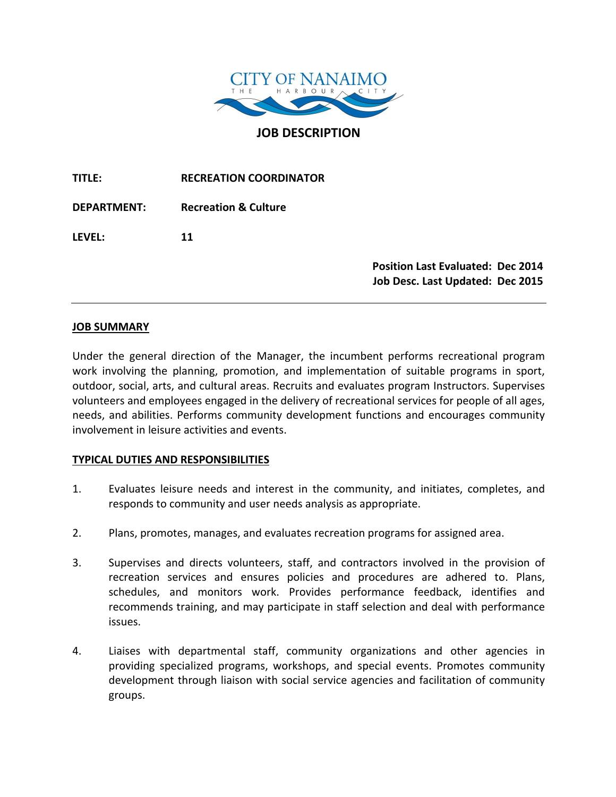

**JOB DESCRIPTION**

**TITLE: RECREATION COORDINATOR DEPARTMENT: Recreation & Culture LEVEL: 11 Position Last Evaluated: Dec 2014 Job Desc. Last Updated: Dec 2015**

### **JOB SUMMARY**

Under the general direction of the Manager, the incumbent performs recreational program work involving the planning, promotion, and implementation of suitable programs in sport, outdoor, social, arts, and cultural areas. Recruits and evaluates program Instructors. Supervises volunteers and employees engaged in the delivery of recreational services for people of all ages, needs, and abilities. Performs community development functions and encourages community involvement in leisure activities and events.

### **TYPICAL DUTIES AND RESPONSIBILITIES**

- 1. Evaluates leisure needs and interest in the community, and initiates, completes, and responds to community and user needs analysis as appropriate.
- 2. Plans, promotes, manages, and evaluates recreation programs for assigned area.
- 3. Supervises and directs volunteers, staff, and contractors involved in the provision of recreation services and ensures policies and procedures are adhered to. Plans, schedules, and monitors work. Provides performance feedback, identifies and recommends training, and may participate in staff selection and deal with performance issues.
- 4. Liaises with departmental staff, community organizations and other agencies in providing specialized programs, workshops, and special events. Promotes community development through liaison with social service agencies and facilitation of community groups.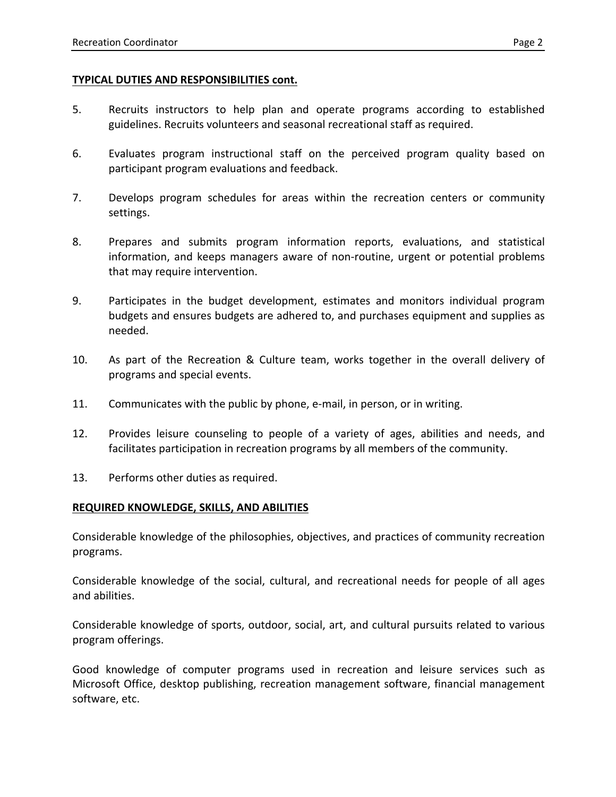## **TYPICAL DUTIES AND RESPONSIBILITIES cont.**

- 5. Recruits instructors to help plan and operate programs according to established guidelines. Recruits volunteers and seasonal recreational staff as required.
- 6. Evaluates program instructional staff on the perceived program quality based on participant program evaluations and feedback.
- 7. Develops program schedules for areas within the recreation centers or community settings.
- 8. Prepares and submits program information reports, evaluations, and statistical information, and keeps managers aware of non-routine, urgent or potential problems that may require intervention.
- 9. Participates in the budget development, estimates and monitors individual program budgets and ensures budgets are adhered to, and purchases equipment and supplies as needed.
- 10. As part of the Recreation & Culture team, works together in the overall delivery of programs and special events.
- 11. Communicates with the public by phone, e-mail, in person, or in writing.
- 12. Provides leisure counseling to people of a variety of ages, abilities and needs, and facilitates participation in recreation programs by all members of the community.
- 13. Performs other duties as required.

# **REQUIRED KNOWLEDGE, SKILLS, AND ABILITIES**

Considerable knowledge of the philosophies, objectives, and practices of community recreation programs.

Considerable knowledge of the social, cultural, and recreational needs for people of all ages and abilities.

Considerable knowledge of sports, outdoor, social, art, and cultural pursuits related to various program offerings.

Good knowledge of computer programs used in recreation and leisure services such as Microsoft Office, desktop publishing, recreation management software, financial management software, etc.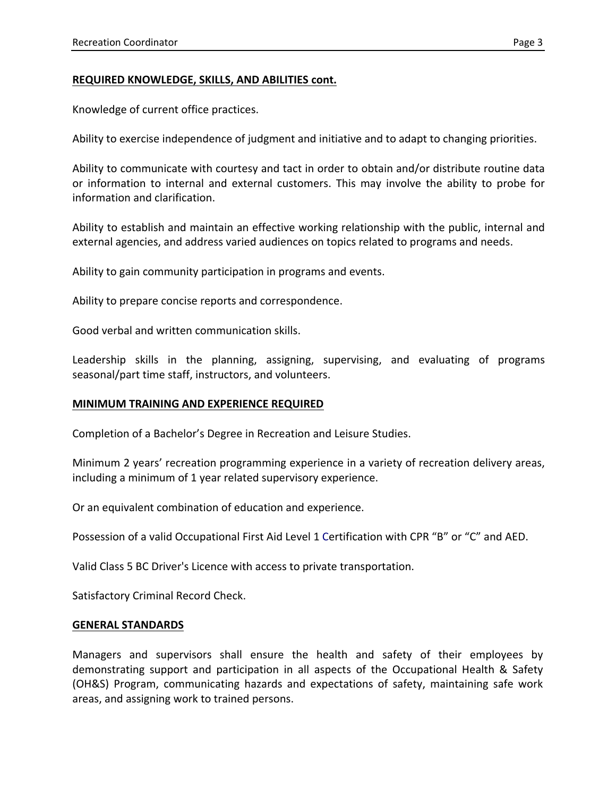# **REQUIRED KNOWLEDGE, SKILLS, AND ABILITIES cont.**

Knowledge of current office practices.

Ability to exercise independence of judgment and initiative and to adapt to changing priorities.

Ability to communicate with courtesy and tact in order to obtain and/or distribute routine data or information to internal and external customers. This may involve the ability to probe for information and clarification.

Ability to establish and maintain an effective working relationship with the public, internal and external agencies, and address varied audiences on topics related to programs and needs.

Ability to gain community participation in programs and events.

Ability to prepare concise reports and correspondence.

Good verbal and written communication skills.

Leadership skills in the planning, assigning, supervising, and evaluating of programs seasonal/part time staff, instructors, and volunteers.

### **MINIMUM TRAINING AND EXPERIENCE REQUIRED**

Completion of a Bachelor's Degree in Recreation and Leisure Studies.

Minimum 2 years' recreation programming experience in a variety of recreation delivery areas, including a minimum of 1 year related supervisory experience.

Or an equivalent combination of education and experience.

Possession of a valid Occupational First Aid Level 1 Certification with CPR "B" or "C" and AED.

Valid Class 5 BC Driver's Licence with access to private transportation.

Satisfactory Criminal Record Check.

### **GENERAL STANDARDS**

Managers and supervisors shall ensure the health and safety of their employees by demonstrating support and participation in all aspects of the Occupational Health & Safety (OH&S) Program, communicating hazards and expectations of safety, maintaining safe work areas, and assigning work to trained persons.